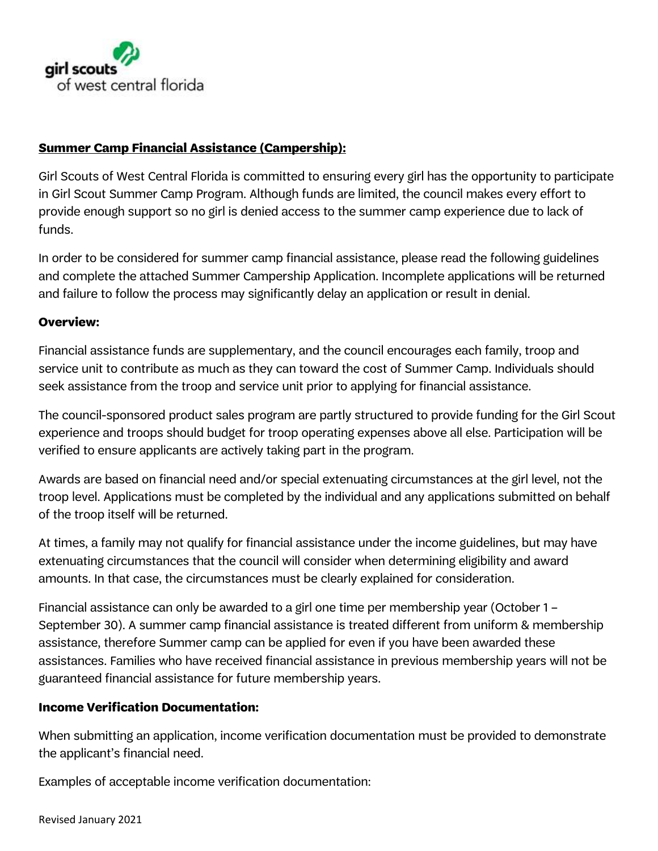

# **Summer Camp Financial Assistance (Campership):**

Girl Scouts of West Central Florida is committed to ensuring every girl has the opportunity to participate in Girl Scout Summer Camp Program. Although funds are limited, the council makes every effort to provide enough support so no girl is denied access to the summer camp experience due to lack of funds.

In order to be considered for summer camp financial assistance, please read the following guidelines and complete the attached Summer Campership Application. Incomplete applications will be returned and failure to follow the process may significantly delay an application or result in denial.

## **Overview:**

Financial assistance funds are supplementary, and the council encourages each family, troop and service unit to contribute as much as they can toward the cost of Summer Camp. Individuals should seek assistance from the troop and service unit prior to applying for financial assistance.

The council-sponsored product sales program are partly structured to provide funding for the Girl Scout experience and troops should budget for troop operating expenses above all else. Participation will be verified to ensure applicants are actively taking part in the program.

Awards are based on financial need and/or special extenuating circumstances at the girl level, not the troop level. Applications must be completed by the individual and any applications submitted on behalf of the troop itself will be returned.

At times, a family may not qualify for financial assistance under the income guidelines, but may have extenuating circumstances that the council will consider when determining eligibility and award amounts. In that case, the circumstances must be clearly explained for consideration.

Financial assistance can only be awarded to a girl one time per membership year (October 1 – September 30). A summer camp financial assistance is treated different from uniform & membership assistance, therefore Summer camp can be applied for even if you have been awarded these assistances. Families who have received financial assistance in previous membership years will not be guaranteed financial assistance for future membership years.

## **Income Verification Documentation:**

When submitting an application, income verification documentation must be provided to demonstrate the applicant's financial need.

Examples of acceptable income verification documentation: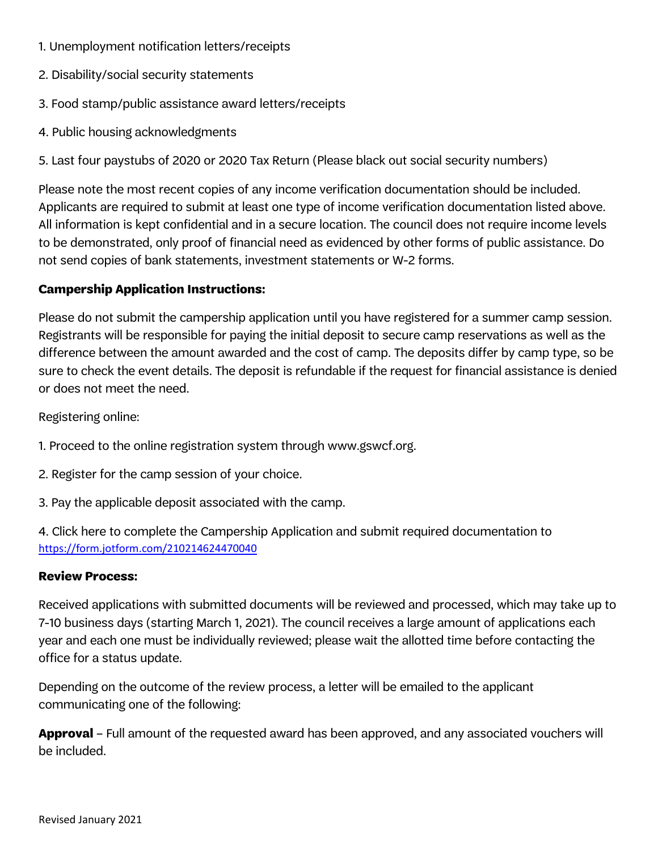- 1. Unemployment notification letters/receipts
- 2. Disability/social security statements
- 3. Food stamp/public assistance award letters/receipts
- 4. Public housing acknowledgments

5. Last four paystubs of 2020 or 2020 Tax Return (Please black out social security numbers)

Please note the most recent copies of any income verification documentation should be included. Applicants are required to submit at least one type of income verification documentation listed above. All information is kept confidential and in a secure location. The council does not require income levels to be demonstrated, only proof of financial need as evidenced by other forms of public assistance. Do not send copies of bank statements, investment statements or W-2 forms.

# **Campership Application Instructions:**

Please do not submit the campership application until you have registered for a summer camp session. Registrants will be responsible for paying the initial deposit to secure camp reservations as well as the difference between the amount awarded and the cost of camp. The deposits differ by camp type, so be sure to check the event details. The deposit is refundable if the request for financial assistance is denied or does not meet the need.

Registering online:

- 1. Proceed to the online registration system through www.gswcf.org.
- 2. Register for the camp session of your choice.
- 3. Pay the applicable deposit associated with the camp.

4. Click here to complete the Campership Application and submit required documentation to <https://form.jotform.com/210214624470040>

## **Review Process:**

Received applications with submitted documents will be reviewed and processed, which may take up to 7-10 business days (starting March 1, 2021). The council receives a large amount of applications each year and each one must be individually reviewed; please wait the allotted time before contacting the office for a status update.

Depending on the outcome of the review process, a letter will be emailed to the applicant communicating one of the following:

**Approval** – Full amount of the requested award has been approved, and any associated vouchers will be included.